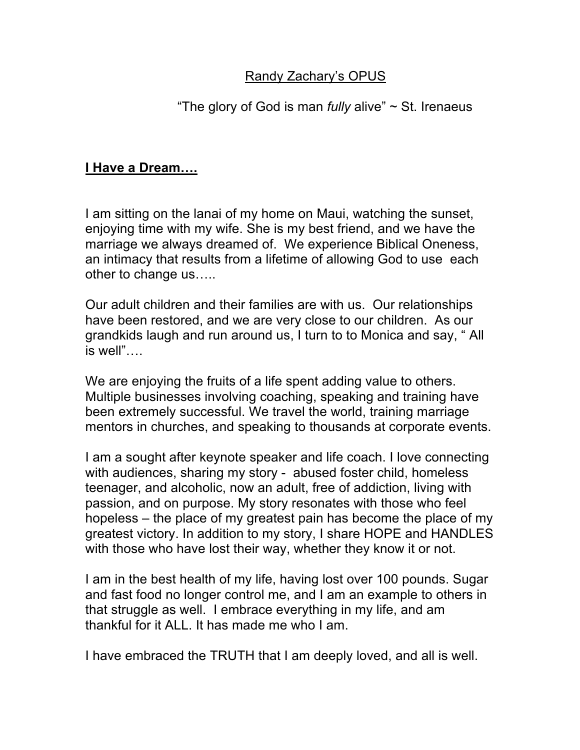## **Randy Zachary's OPUS**

### "The glory of God is man *fully* alive" ~ St. Irenaeus

### **I Have a Dream….**

I am sitting on the lanai of my home on Maui, watching the sunset, enjoying time with my wife. She is my best friend, and we have the marriage we always dreamed of. We experience Biblical Oneness, an intimacy that results from a lifetime of allowing God to use each other to change us…..

Our adult children and their families are with us. Our relationships have been restored, and we are very close to our children. As our grandkids laugh and run around us, I turn to to Monica and say, " All is well"….

We are enjoying the fruits of a life spent adding value to others. Multiple businesses involving coaching, speaking and training have been extremely successful. We travel the world, training marriage mentors in churches, and speaking to thousands at corporate events.

I am a sought after keynote speaker and life coach. I love connecting with audiences, sharing my story - abused foster child, homeless teenager, and alcoholic, now an adult, free of addiction, living with passion, and on purpose. My story resonates with those who feel hopeless – the place of my greatest pain has become the place of my greatest victory. In addition to my story, I share HOPE and HANDLES with those who have lost their way, whether they know it or not.

I am in the best health of my life, having lost over 100 pounds. Sugar and fast food no longer control me, and I am an example to others in that struggle as well. I embrace everything in my life, and am thankful for it ALL. It has made me who I am.

I have embraced the TRUTH that I am deeply loved, and all is well.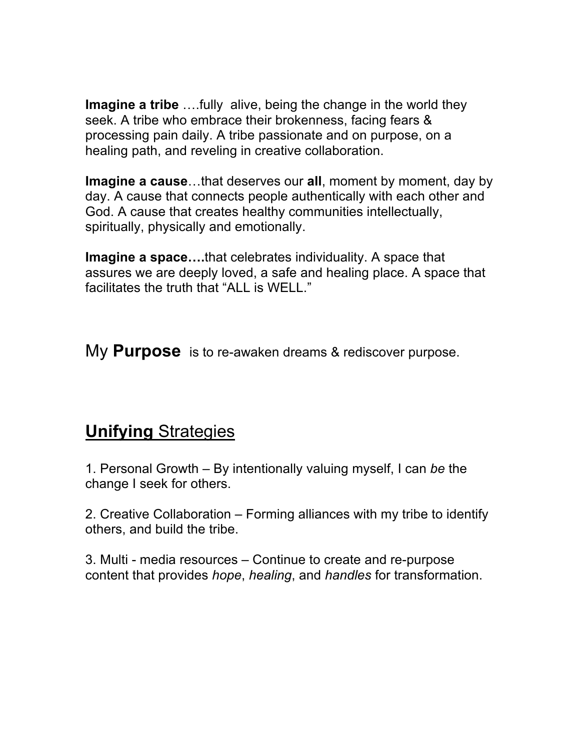**Imagine a tribe** ….fully alive, being the change in the world they seek. A tribe who embrace their brokenness, facing fears & processing pain daily. A tribe passionate and on purpose, on a healing path, and reveling in creative collaboration.

**Imagine a cause**…that deserves our **all**, moment by moment, day by day. A cause that connects people authentically with each other and God. A cause that creates healthy communities intellectually, spiritually, physically and emotionally.

**Imagine a space….**that celebrates individuality. A space that assures we are deeply loved, a safe and healing place. A space that facilitates the truth that "ALL is WELL."

My **Purpose** is to re-awaken dreams & rediscover purpose.

# **Unifying** Strategies

1. Personal Growth – By intentionally valuing myself, I can *be* the change I seek for others.

2. Creative Collaboration – Forming alliances with my tribe to identify others, and build the tribe.

3. Multi - media resources – Continue to create and re-purpose content that provides *hope*, *healing*, and *handles* for transformation.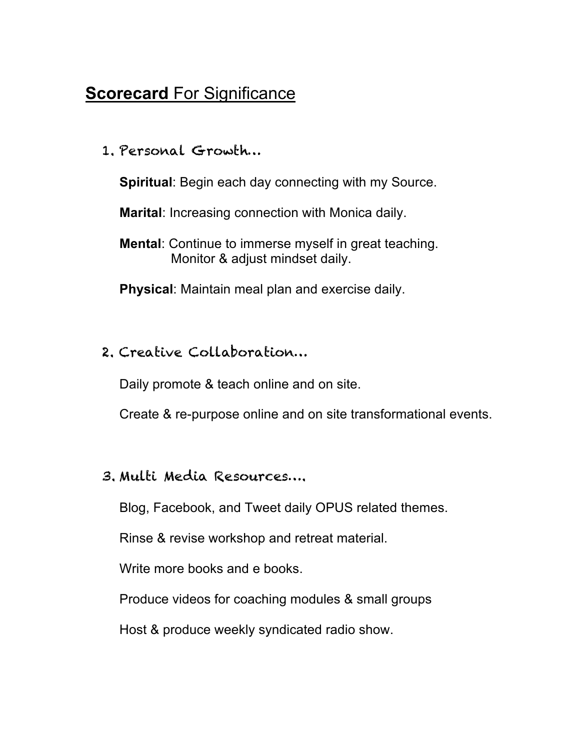# **Scorecard For Significance**

1. Personal Growth…

**Spiritual**: Begin each day connecting with my Source.

**Marital**: Increasing connection with Monica daily.

**Mental**: Continue to immerse myself in great teaching. Monitor & adjust mindset daily.

**Physical**: Maintain meal plan and exercise daily.

## 2. Creative Collaboration…

Daily promote & teach online and on site.

Create & re-purpose online and on site transformational events.

#### 3. Multi Media Resources….

Blog, Facebook, and Tweet daily OPUS related themes.

Rinse & revise workshop and retreat material.

Write more books and e books.

Produce videos for coaching modules & small groups

Host & produce weekly syndicated radio show.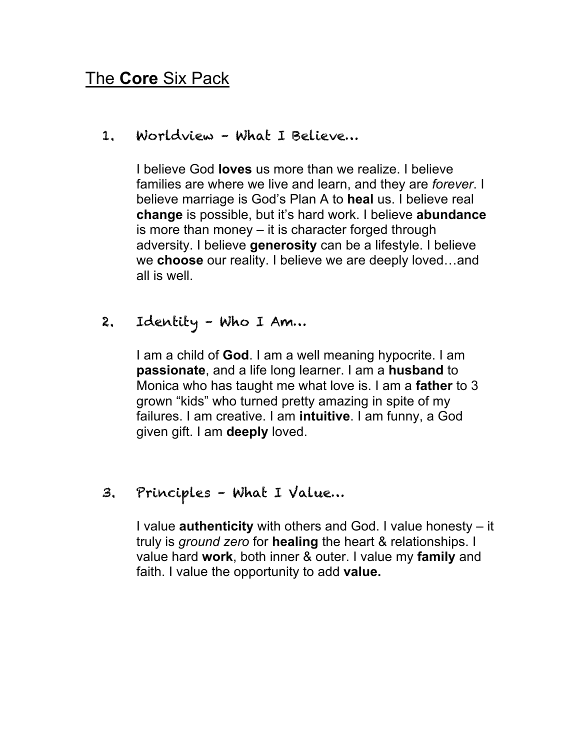# The **Core** Six Pack

1. Worldview – What I Believe…

I believe God **loves** us more than we realize. I believe families are where we live and learn, and they are *forever*. I believe marriage is God's Plan A to **heal** us. I believe real **change** is possible, but it's hard work. I believe **abundance**  is more than money – it is character forged through adversity. I believe **generosity** can be a lifestyle. I believe we **choose** our reality. I believe we are deeply loved…and all is well.

2. Identity – Who I Am…

I am a child of **God**. I am a well meaning hypocrite. I am **passionate**, and a life long learner. I am a **husband** to Monica who has taught me what love is. I am a **father** to 3 grown "kids" who turned pretty amazing in spite of my failures. I am creative. I am **intuitive**. I am funny, a God given gift. I am **deeply** loved.

3. Principles – What I Value…

I value **authenticity** with others and God. I value honesty – it truly is *ground zero* for **healing** the heart & relationships. I value hard **work**, both inner & outer. I value my **family** and faith. I value the opportunity to add **value.**